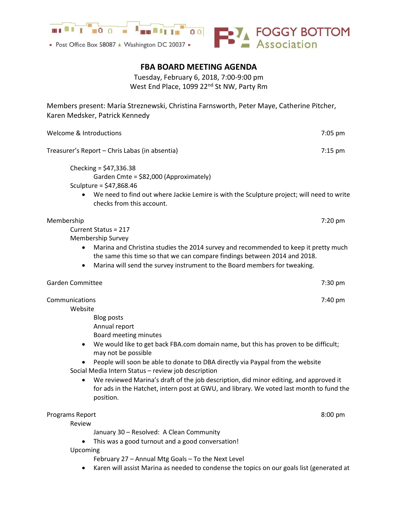

• Post Office Box 58087 A Washington DC 20037 •



## FBA BOARD MEETING AGENDA

Tuesday, February 6, 2018, 7:00-9:00 pm West End Place, 1099 22<sup>nd</sup> St NW, Party Rm

Members present: Maria Streznewski, Christina Farnsworth, Peter Maye, Catherine Pitcher, Karen Medsker, Patrick Kennedy

| Welcome & Introductions                                                                                                                                                                                                                                                                                                                                                                                                                                                                                                                                | 7:05 pm |
|--------------------------------------------------------------------------------------------------------------------------------------------------------------------------------------------------------------------------------------------------------------------------------------------------------------------------------------------------------------------------------------------------------------------------------------------------------------------------------------------------------------------------------------------------------|---------|
| Treasurer's Report - Chris Labas (in absentia)                                                                                                                                                                                                                                                                                                                                                                                                                                                                                                         | 7:15 pm |
| Checking = $$47,336.38$<br>Garden Cmte = \$82,000 (Approximately)<br>Sculpture = $$47,868.46$<br>We need to find out where Jackie Lemire is with the Sculpture project; will need to write<br>checks from this account.                                                                                                                                                                                                                                                                                                                                |         |
| Membership<br>Current Status = 217<br>Membership Survey<br>Marina and Christina studies the 2014 survey and recommended to keep it pretty much<br>٠<br>the same this time so that we can compare findings between 2014 and 2018.<br>Marina will send the survey instrument to the Board members for tweaking.<br>٠                                                                                                                                                                                                                                     | 7:20 pm |
| <b>Garden Committee</b>                                                                                                                                                                                                                                                                                                                                                                                                                                                                                                                                | 7:30 pm |
| Communications<br>Website<br><b>Blog posts</b><br>Annual report<br>Board meeting minutes<br>We would like to get back FBA.com domain name, but this has proven to be difficult;<br>٠<br>may not be possible<br>People will soon be able to donate to DBA directly via Paypal from the website<br>Social Media Intern Status - review job description<br>We reviewed Marina's draft of the job description, did minor editing, and approved it<br>for ads in the Hatchet, intern post at GWU, and library. We voted last month to fund the<br>position. | 7:40 pm |
| Programs Report<br>Review<br>January 30 - Resolved: A Clean Community<br>This was a good turnout and a good conversation!<br>Upcoming<br>February 27 - Annual Mtg Goals - To the Next Level                                                                                                                                                                                                                                                                                                                                                            | 8:00 pm |
| Karen will assist Marina as needed to condense the topics on our goals list (generated at                                                                                                                                                                                                                                                                                                                                                                                                                                                              |         |